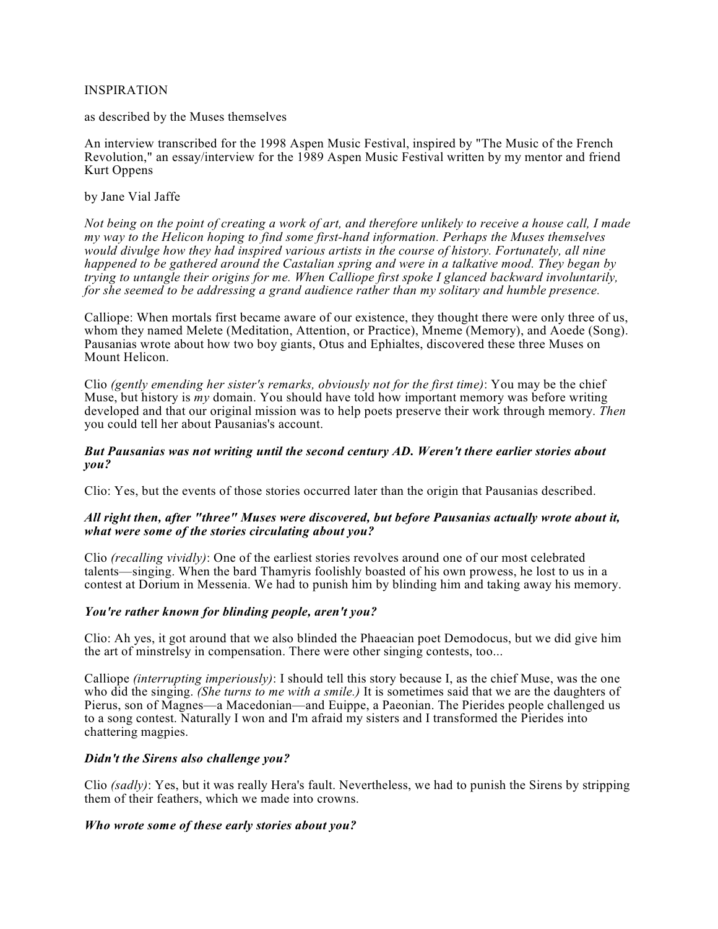## INSPIRATION

as described by the Muses themselves

An interview transcribed for the 1998 Aspen Music Festival, inspired by "The Music of the French Revolution," an essay/interview for the 1989 Aspen Music Festival written by my mentor and friend Kurt Oppens

## by Jane Vial Jaffe

Not being on the point of creating a work of art, and therefore unlikely to receive a house call, I made *my way to the Helicon hoping to find some first-hand information. Perhaps the Muses themselves would divulge how they had inspired various artists in the course of history. Fortunately, all nine happened to be gathered around the Castalian spring and were in a talkative mood. They began by trying to untangle their origins for me. When Calliope first spoke I glanced backward involuntarily, for she seemed to be addressing a grand audience rather than my solitary and humble presence.*

Calliope: When mortals first became aware of our existence, they thought there were only three of us, whom they named Melete (Meditation, Attention, or Practice), Mneme (Memory), and Aoede (Song). Pausanias wrote about how two boy giants, Otus and Ephialtes, discovered these three Muses on Mount Helicon.

Clio *(gently emending her sister's remarks, obviously not for the first time)*: You may be the chief Muse, but history is *my* domain. You should have told how important memory was before writing developed and that our original mission was to help poets preserve their work through memory. *Then* you could tell her about Pausanias's account.

### *But Pausanias was not writing until the second century AD. Weren't there earlier stories about you?*

Clio: Yes, but the events of those stories occurred later than the origin that Pausanias described.

## *All right then, after "three" Muses were discovered, but before Pausanias actually wrote about it, what were some of the stories circulating about you?*

Clio *(recalling vividly)*: One of the earliest stories revolves around one of our most celebrated talents—singing. When the bard Thamyris foolishly boasted of his own prowess, he lost to us in a contest at Dorium in Messenia. We had to punish him by blinding him and taking away his memory.

# *You're rather known for blinding people, aren't you?*

Clio: Ah yes, it got around that we also blinded the Phaeacian poet Demodocus, but we did give him the art of minstrelsy in compensation. There were other singing contests, too...

Calliope *(interrupting imperiously)*: I should tell this story because I, as the chief Muse, was the one who did the singing. *(She turns to me with a smile.)* It is sometimes said that we are the daughters of Pierus, son of Magnes—a Macedonian—and Euippe, a Paeonian. The Pierides people challenged us to a song contest. Naturally I won and I'm afraid my sisters and I transformed the Pierides into chattering magpies.

# *Didn't the Sirens also challenge you?*

Clio *(sadly)*: Yes, but it was really Hera's fault. Nevertheless, we had to punish the Sirens by stripping them of their feathers, which we made into crowns.

#### *Who wrote some of these early stories about you?*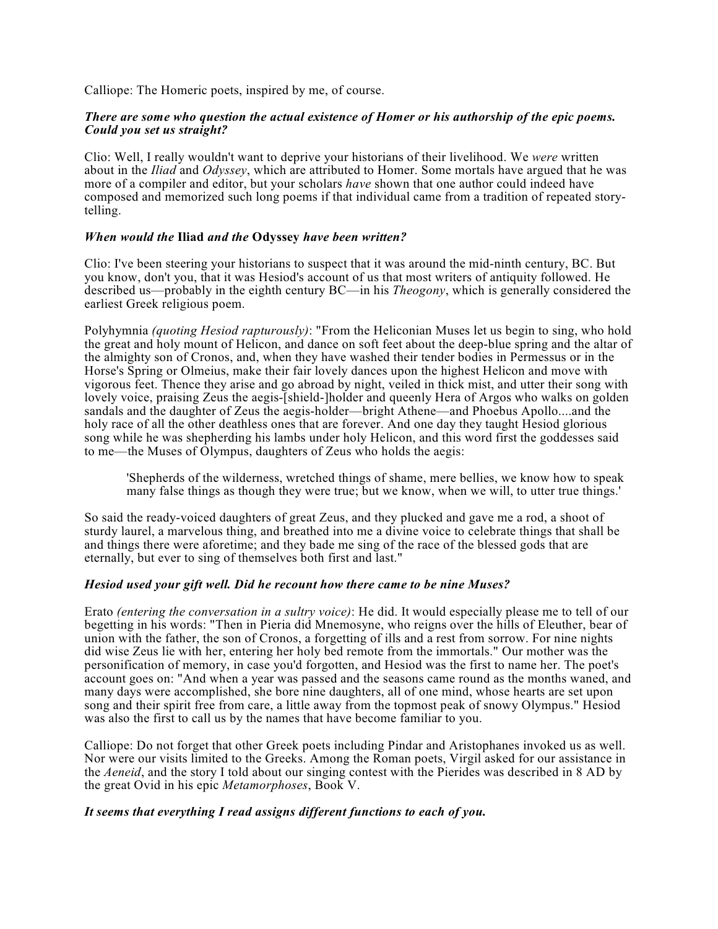Calliope: The Homeric poets, inspired by me, of course.

# *There are some who question the actual existence of Homer or his authorship of the epic poems. Could you set us straight?*

Clio: Well, I really wouldn't want to deprive your historians of their livelihood. We *were* written about in the *Iliad* and *Odyssey*, which are attributed to Homer. Some mortals have argued that he was more of a compiler and editor, but your scholars *have* shown that one author could indeed have composed and memorized such long poems if that individual came from a tradition of repeated storytelling.

### *When would the* **Iliad** *and the* **Odyssey** *have been written?*

Clio: I've been steering your historians to suspect that it was around the mid-ninth century, BC. But you know, don't you, that it was Hesiod's account of us that most writers of antiquity followed. He described us—probably in the eighth century BC—in his *Theogony*, which is generally considered the earliest Greek religious poem.

Polyhymnia *(quoting Hesiod rapturously)*: "From the Heliconian Muses let us begin to sing, who hold the great and holy mount of Helicon, and dance on soft feet about the deep-blue spring and the altar of the almighty son of Cronos, and, when they have washed their tender bodies in Permessus or in the Horse's Spring or Olmeius, make their fair lovely dances upon the highest Helicon and move with vigorous feet. Thence they arise and go abroad by night, veiled in thick mist, and utter their song with lovely voice, praising Zeus the aegis-[shield-]holder and queenly Hera of Argos who walks on golden sandals and the daughter of Zeus the aegis-holder—bright Athene—and Phoebus Apollo....and the holy race of all the other deathless ones that are forever. And one day they taught Hesiod glorious song while he was shepherding his lambs under holy Helicon, and this word first the goddesses said to me—the Muses of Olympus, daughters of Zeus who holds the aegis:

'Shepherds of the wilderness, wretched things of shame, mere bellies, we know how to speak many false things as though they were true; but we know, when we will, to utter true things.'

So said the ready-voiced daughters of great Zeus, and they plucked and gave me a rod, a shoot of sturdy laurel, a marvelous thing, and breathed into me a divine voice to celebrate things that shall be and things there were aforetime; and they bade me sing of the race of the blessed gods that are eternally, but ever to sing of themselves both first and last."

#### *Hesiod used your gift well. Did he recount how there came to be nine Muses?*

Erato *(entering the conversation in a sultry voice)*: He did. It would especially please me to tell of our begetting in his words: "Then in Pieria did Mnemosyne, who reigns over the hills of Eleuther, bear of union with the father, the son of Cronos, a forgetting of ills and a rest from sorrow. For nine nights did wise Zeus lie with her, entering her holy bed remote from the immortals." Our mother was the personification of memory, in case you'd forgotten, and Hesiod was the first to name her. The poet's account goes on: "And when a year was passed and the seasons came round as the months waned, and many days were accomplished, she bore nine daughters, all of one mind, whose hearts are set upon song and their spirit free from care, a little away from the topmost peak of snowy Olympus." Hesiod was also the first to call us by the names that have become familiar to you.

Calliope: Do not forget that other Greek poets including Pindar and Aristophanes invoked us as well. Nor were our visits limited to the Greeks. Among the Roman poets, Virgil asked for our assistance in the *Aeneid*, and the story I told about our singing contest with the Pierides was described in 8 AD by the great Ovid in his epic *Metamorphoses*, Book V.

# *It seems that everything I read assigns different functions to each of you.*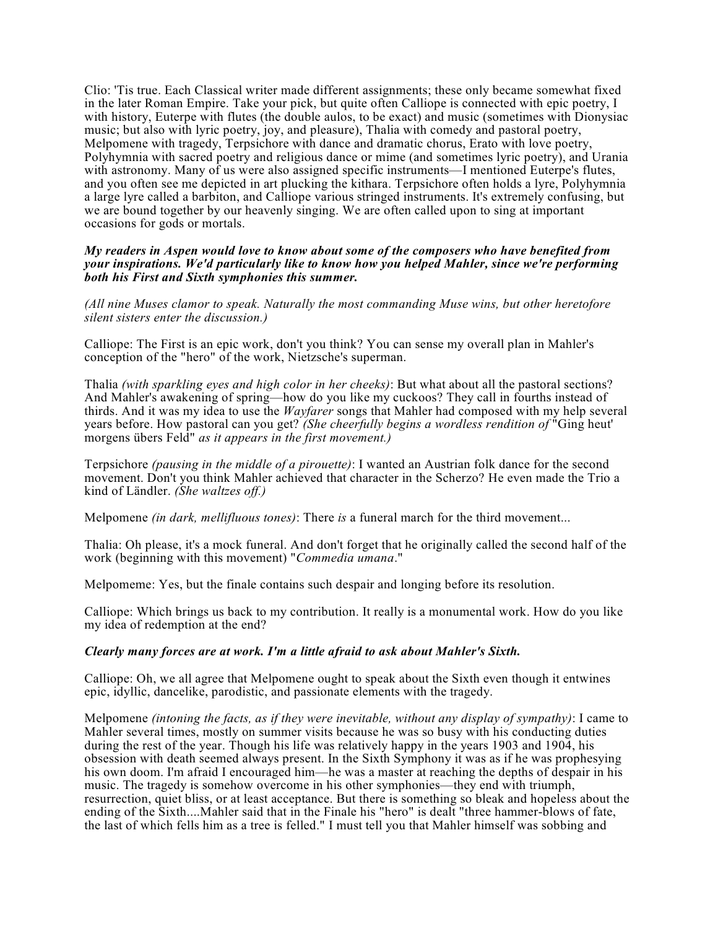Clio: 'Tis true. Each Classical writer made different assignments; these only became somewhat fixed in the later Roman Empire. Take your pick, but quite often Calliope is connected with epic poetry, I with history, Euterpe with flutes (the double aulos, to be exact) and music (sometimes with Dionysiac music; but also with lyric poetry, joy, and pleasure), Thalia with comedy and pastoral poetry, Melpomene with tragedy, Terpsichore with dance and dramatic chorus, Erato with love poetry, Polyhymnia with sacred poetry and religious dance or mime (and sometimes lyric poetry), and Urania with astronomy. Many of us were also assigned specific instruments—I mentioned Euterpe's flutes, and you often see me depicted in art plucking the kithara. Terpsichore often holds a lyre, Polyhymnia a large lyre called a barbiton, and Calliope various stringed instruments. It's extremely confusing, but we are bound together by our heavenly singing. We are often called upon to sing at important occasions for gods or mortals.

*My readers in Aspen would love to know about some of the composers who have benefited from your inspirations. We'd particularly like to know how you helped Mahler, since we're performing both his First and Sixth symphonies this summer.*

*(All nine Muses clamor to speak. Naturally the most commanding Muse wins, but other heretofore silent sisters enter the discussion.)*

Calliope: The First is an epic work, don't you think? You can sense my overall plan in Mahler's conception of the "hero" of the work, Nietzsche's superman.

Thalia *(with sparkling eyes and high color in her cheeks)*: But what about all the pastoral sections? And Mahler's awakening of spring—how do you like my cuckoos? They call in fourths instead of thirds. And it was my idea to use the *Wayfarer* songs that Mahler had composed with my help several years before. How pastoral can you get? *(She cheerfully begins a wordless rendition of* "Ging heut' morgens übers Feld" *as it appears in the first movement.)*

Terpsichore *(pausing in the middle of a pirouette)*: I wanted an Austrian folk dance for the second movement. Don't you think Mahler achieved that character in the Scherzo? He even made the Trio a kind of Ländler. *(She waltzes off.)*

Melpomene *(in dark, mellifluous tones)*: There *is* a funeral march for the third movement...

Thalia: Oh please, it's a mock funeral. And don't forget that he originally called the second half of the work (beginning with this movement) "*Commedia umana*."

Melpomeme: Yes, but the finale contains such despair and longing before its resolution.

Calliope: Which brings us back to my contribution. It really is a monumental work. How do you like my idea of redemption at the end?

### *Clearly many forces are at work. I'm a little afraid to ask about Mahler's Sixth.*

Calliope: Oh, we all agree that Melpomene ought to speak about the Sixth even though it entwines epic, idyllic, dancelike, parodistic, and passionate elements with the tragedy.

Melpomene *(intoning the facts, as if they were inevitable, without any display of sympathy)*: I came to Mahler several times, mostly on summer visits because he was so busy with his conducting duties during the rest of the year. Though his life was relatively happy in the years 1903 and 1904, his obsession with death seemed always present. In the Sixth Symphony it was as if he was prophesying his own doom. I'm afraid I encouraged him—he was a master at reaching the depths of despair in his music. The tragedy is somehow overcome in his other symphonies—they end with triumph, resurrection, quiet bliss, or at least acceptance. But there is something so bleak and hopeless about the ending of the Sixth....Mahler said that in the Finale his "hero" is dealt "three hammer-blows of fate, the last of which fells him as a tree is felled." I must tell you that Mahler himself was sobbing and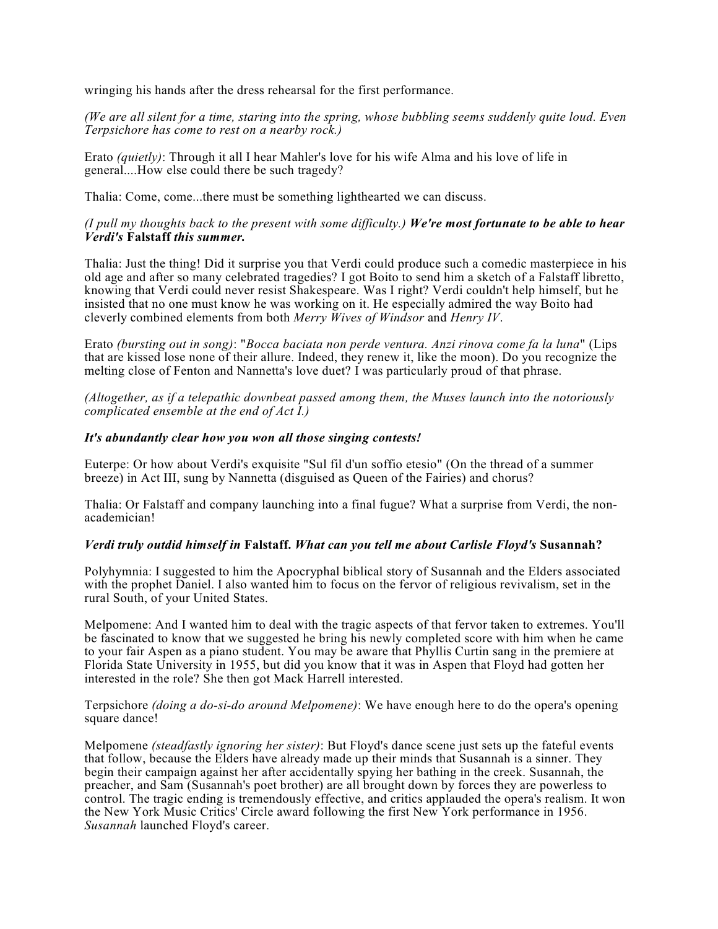wringing his hands after the dress rehearsal for the first performance.

*(We are all silent for a time, staring into the spring, whose bubbling seems suddenly quite loud. Even Terpsichore has come to rest on a nearby rock.)*

Erato *(quietly)*: Through it all I hear Mahler's love for his wife Alma and his love of life in general....How else could there be such tragedy?

Thalia: Come, come...there must be something lighthearted we can discuss.

## (I pull my thoughts back to the present with some difficulty.) We're most fortunate to be able to hear *Verdi's* **Falstaff** *this summer.*

Thalia: Just the thing! Did it surprise you that Verdi could produce such a comedic masterpiece in his old age and after so many celebrated tragedies? I got Boito to send him a sketch of a Falstaff libretto, knowing that Verdi could never resist Shakespeare. Was I right? Verdi couldn't help himself, but he insisted that no one must know he was working on it. He especially admired the way Boito had cleverly combined elements from both *Merry Wives of Windsor* and *Henry IV*.

Erato *(bursting out in song)*: "*Bocca baciata non perde ventura. Anzi rinova come fa la luna*" (Lips that are kissed lose none of their allure. Indeed, they renew it, like the moon). Do you recognize the melting close of Fenton and Nannetta's love duet? I was particularly proud of that phrase.

*(Altogether, as if a telepathic downbeat passed among them, the Muses launch into the notoriously complicated ensemble at the end of Act I.)*

## *It's abundantly clear how you won all those singing contests!*

Euterpe: Or how about Verdi's exquisite "Sul fil d'un soffio etesio" (On the thread of a summer breeze) in Act III, sung by Nannetta (disguised as Queen of the Fairies) and chorus?

Thalia: Or Falstaff and company launching into a final fugue? What a surprise from Verdi, the nonacademician!

#### *Verdi truly outdid himself in* **Falstaff.** *What can you tell me about Carlisle Floyd's* **Susannah?**

Polyhymnia: I suggested to him the Apocryphal biblical story of Susannah and the Elders associated with the prophet Daniel. I also wanted him to focus on the fervor of religious revivalism, set in the rural South, of your United States.

Melpomene: And I wanted him to deal with the tragic aspects of that fervor taken to extremes. You'll be fascinated to know that we suggested he bring his newly completed score with him when he came to your fair Aspen as a piano student. You may be aware that Phyllis Curtin sang in the premiere at Florida State University in 1955, but did you know that it was in Aspen that Floyd had gotten her interested in the role? She then got Mack Harrell interested.

Terpsichore *(doing a do-si-do around Melpomene)*: We have enough here to do the opera's opening square dance!

Melpomene *(steadfastly ignoring her sister)*: But Floyd's dance scene just sets up the fateful events that follow, because the Elders have already made up their minds that Susannah is a sinner. They begin their campaign against her after accidentally spying her bathing in the creek. Susannah, the preacher, and Sam (Susannah's poet brother) are all brought down by forces they are powerless to control. The tragic ending is tremendously effective, and critics applauded the opera's realism. It won the New York Music Critics' Circle award following the first New York performance in 1956. *Susannah* launched Floyd's career.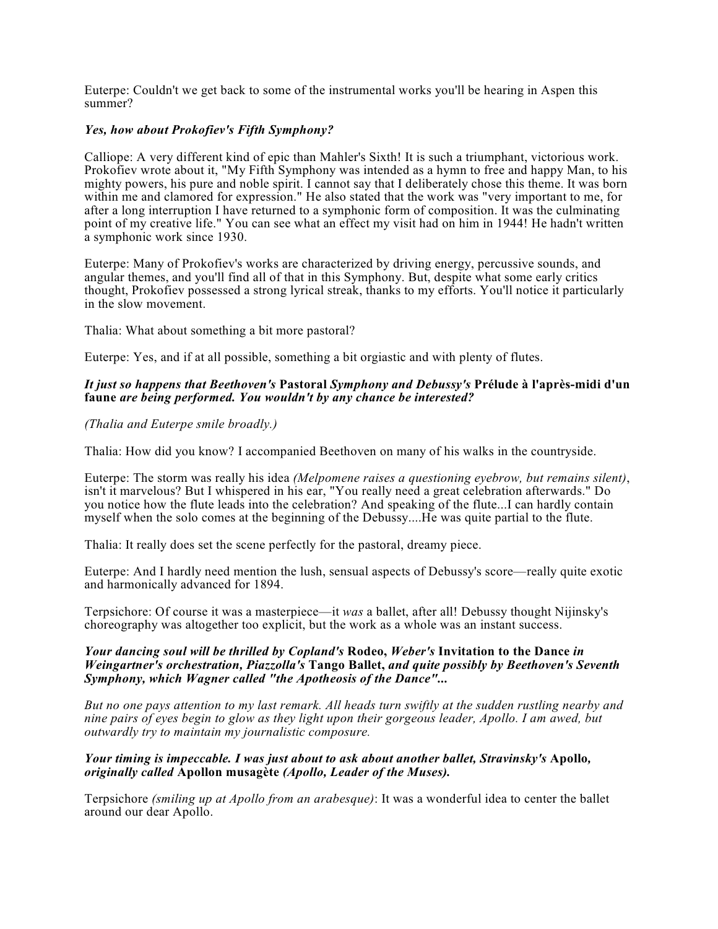Euterpe: Couldn't we get back to some of the instrumental works you'll be hearing in Aspen this summer?

# *Yes, how about Prokofiev's Fifth Symphony?*

Calliope: A very different kind of epic than Mahler's Sixth! It is such a triumphant, victorious work. Prokofiev wrote about it, "My Fifth Symphony was intended as a hymn to free and happy Man, to his mighty powers, his pure and noble spirit. I cannot say that I deliberately chose this theme. It was born within me and clamored for expression." He also stated that the work was "very important to me, for after a long interruption I have returned to a symphonic form of composition. It was the culminating point of my creative life." You can see what an effect my visit had on him in 1944! He hadn't written a symphonic work since 1930.

Euterpe: Many of Prokofiev's works are characterized by driving energy, percussive sounds, and angular themes, and you'll find all of that in this Symphony. But, despite what some early critics thought, Prokofiev possessed a strong lyrical streak, thanks to my efforts. You'll notice it particularly in the slow movement.

Thalia: What about something a bit more pastoral?

Euterpe: Yes, and if at all possible, something a bit orgiastic and with plenty of flutes.

## *It just so happens that Beethoven's* **Pastoral** *Symphony and Debussy's* **Prélude à l'après-midi d'un faune** *are being performed. You wouldn't by any chance be interested?*

#### *(Thalia and Euterpe smile broadly.)*

Thalia: How did you know? I accompanied Beethoven on many of his walks in the countryside.

Euterpe: The storm was really his idea *(Melpomene raises a questioning eyebrow, but remains silent)*, isn't it marvelous? But I whispered in his ear, "You really need a great celebration afterwards." Do you notice how the flute leads into the celebration? And speaking of the flute...I can hardly contain myself when the solo comes at the beginning of the Debussy....He was quite partial to the flute.

Thalia: It really does set the scene perfectly for the pastoral, dreamy piece.

Euterpe: And I hardly need mention the lush, sensual aspects of Debussy's score—really quite exotic and harmonically advanced for 1894.

Terpsichore: Of course it was a masterpiece—it *was* a ballet, after all! Debussy thought Nijinsky's choreography was altogether too explicit, but the work as a whole was an instant success.

#### *Your dancing soul will be thrilled by Copland's* **Rodeo,** *Weber's* **Invitation to the Dance** *in Weingartner's orchestration, Piazzolla's* **Tango Ballet,** *and quite possibly by Beethoven's Seventh Symphony, which Wagner called "the Apotheosis of the Dance"...*

But no one pays attention to my last remark. All heads turn swiftly at the sudden rustling nearby and nine pairs of eves begin to glow as they light upon their gorgeous leader, Apollo. I am awed, but *outwardly try to maintain my journalistic composure.*

#### *Your timing is impeccable. I was just about to ask about another ballet, Stravinsky's* **Apollo***, originally called* **Apollon musagète** *(Apollo, Leader of the Muses).*

Terpsichore *(smiling up at Apollo from an arabesque)*: It was a wonderful idea to center the ballet around our dear Apollo.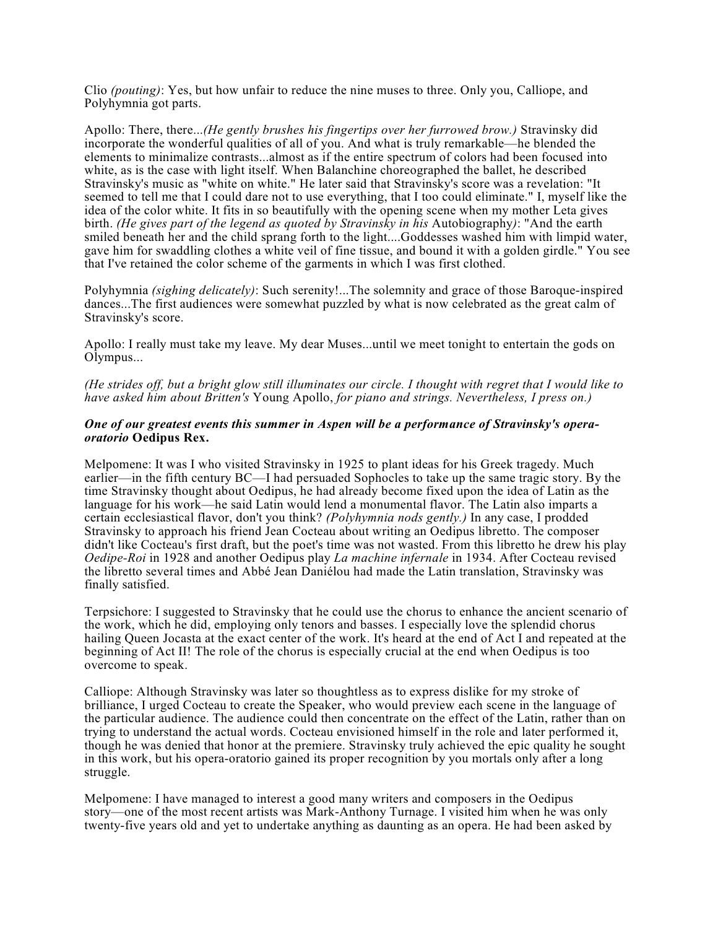Clio *(pouting)*: Yes, but how unfair to reduce the nine muses to three. Only you, Calliope, and Polyhymnia got parts.

Apollo: There, there...*(He gently brushes his fingertips over her furrowed brow.)* Stravinsky did incorporate the wonderful qualities of all of you. And what is truly remarkable—he blended the elements to minimalize contrasts...almost as if the entire spectrum of colors had been focused into white, as is the case with light itself. When Balanchine choreographed the ballet, he described Stravinsky's music as "white on white." He later said that Stravinsky's score was a revelation: "It seemed to tell me that I could dare not to use everything, that I too could eliminate." I, myself like the idea of the color white. It fits in so beautifully with the opening scene when my mother Leta gives birth. *(He gives part of the legend as quoted by Stravinsky in his* Autobiography*)*: "And the earth smiled beneath her and the child sprang forth to the light....Goddesses washed him with limpid water, gave him for swaddling clothes a white veil of fine tissue, and bound it with a golden girdle." You see that I've retained the color scheme of the garments in which I was first clothed.

Polyhymnia *(sighing delicately)*: Such serenity!...The solemnity and grace of those Baroque-inspired dances...The first audiences were somewhat puzzled by what is now celebrated as the great calm of Stravinsky's score.

Apollo: I really must take my leave. My dear Muses...until we meet tonight to entertain the gods on Olympus...

(He strides off, but a bright glow still illuminates our circle. I thought with regret that I would like to *have asked him about Britten's* Young Apollo, *for piano and strings. Nevertheless, I press on.)*

#### *One of our greatest events this summer in Aspen will be a performance of Stravinsky's operaoratorio* **Oedipus Rex.**

Melpomene: It was I who visited Stravinsky in 1925 to plant ideas for his Greek tragedy. Much earlier—in the fifth century BC—I had persuaded Sophocles to take up the same tragic story. By the time Stravinsky thought about Oedipus, he had already become fixed upon the idea of Latin as the language for his work—he said Latin would lend a monumental flavor. The Latin also imparts a certain ecclesiastical flavor, don't you think? *(Polyhymnia nods gently.)* In any case, I prodded Stravinsky to approach his friend Jean Cocteau about writing an Oedipus libretto. The composer didn't like Cocteau's first draft, but the poet's time was not wasted. From this libretto he drew his play *Oedipe-Roi* in 1928 and another Oedipus play *La machine infernale* in 1934. After Cocteau revised the libretto several times and Abbé Jean Daniélou had made the Latin translation, Stravinsky was finally satisfied.

Terpsichore: I suggested to Stravinsky that he could use the chorus to enhance the ancient scenario of the work, which he did, employing only tenors and basses. I especially love the splendid chorus hailing Queen Jocasta at the exact center of the work. It's heard at the end of Act I and repeated at the beginning of Act II! The role of the chorus is especially crucial at the end when Oedipus is too overcome to speak.

Calliope: Although Stravinsky was later so thoughtless as to express dislike for my stroke of brilliance, I urged Cocteau to create the Speaker, who would preview each scene in the language of the particular audience. The audience could then concentrate on the effect of the Latin, rather than on trying to understand the actual words. Cocteau envisioned himself in the role and later performed it, though he was denied that honor at the premiere. Stravinsky truly achieved the epic quality he sought in this work, but his opera-oratorio gained its proper recognition by you mortals only after a long struggle.

Melpomene: I have managed to interest a good many writers and composers in the Oedipus story—one of the most recent artists was Mark-Anthony Turnage. I visited him when he was only twenty-five years old and yet to undertake anything as daunting as an opera. He had been asked by